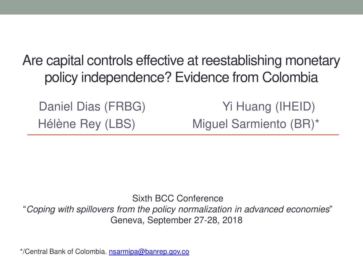Are capital controls effective at reestablishing monetary policy independence? Evidence from Colombia

Daniel Dias (FRBG) Yi Huang (IHEID) Hélène Rey (LBS) Miguel Sarmiento (BR)\*

Sixth BCC Conference "Coping with spillovers from the policy normalization in advanced economies" Geneva, September 27-28, 2018

\*/Central Bank of Colombia. [nsarmipa@banrep.gov.co](mailto:nsarmipa@banrep.gov.co)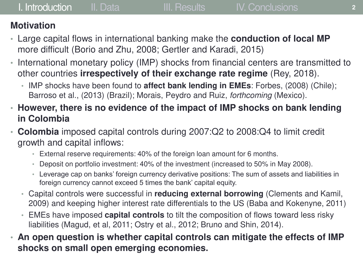## **Motivation**

- Large capital flows in international banking make the **conduction of local MP**  more difficult (Borio and Zhu, 2008; Gertler and Karadi, 2015)
- International monetary policy (IMP) shocks from financial centers are transmitted to other countries **irrespectively of their exchange rate regime** (Rey, 2018).
	- IMP shocks have been found to **affect bank lending in EMEs**: Forbes, (2008) (Chile); Barroso et al., (2013) (Brazil); Morais, Peydro and Ruiz, forthcoming (Mexico).
- **However, there is no evidence of the impact of IMP shocks on bank lending in Colombia**
- **Colombia** imposed capital controls during 2007:Q2 to 2008:Q4 to limit credit growth and capital inflows:
	- External reserve requirements: 40% of the foreign loan amount for 6 months.
	- Deposit on portfolio investment: 40% of the investment (increased to 50% in May 2008).
	- Leverage cap on banks' foreign currency derivative positions: The sum of assets and liabilities in foreign currency cannot exceed 5 times the bank' capital equity.
	- Capital controls were successful in **reducing external borrowing** (Clements and Kamil, 2009) and keeping higher interest rate differentials to the US (Baba and Kokenyne, 2011)
	- EMEs have imposed **capital controls** to tilt the composition of flows toward less risky liabilities (Magud, et al, 2011; Ostry et al., 2012; Bruno and Shin, 2014).
- **An open question is whether capital controls can mitigate the effects of IMP shocks on small open emerging economies.**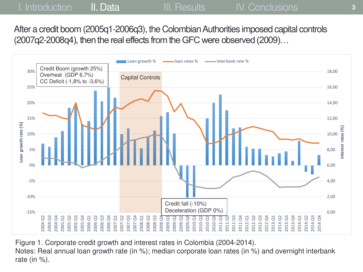After a credit boom (2005q1-2006q3), the Colombian Authorities imposed capital controls (2007q2-2008q4), then the real effects from the GFC were observed (2009)…



Figure 1. Corporate credit growth and interest rates in Colombia (2004-2014). Notes: Real annual loan growth rate (in %); median corporate loan rates (in %) and overnight interbank rate (in  $\%$ ).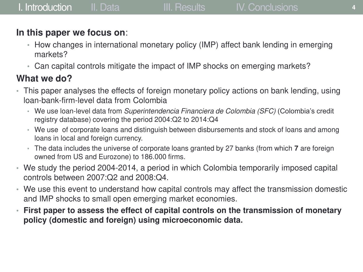# **In this paper we focus on**:

- How changes in international monetary policy (IMP) affect bank lending in emerging markets?
- Can capital controls mitigate the impact of IMP shocks on emerging markets?

# **What we do?**

- This paper analyses the effects of foreign monetary policy actions on bank lending, using loan-bank-firm-level data from Colombia
	- We use loan-level data from Superintendencia Financiera de Colombia (SFC) (Colombia's credit registry database) covering the period 2004:Q2 to 2014:Q4
	- We use of corporate loans and distinguish between disbursements and stock of loans and among loans in local and foreign currency.
	- The data includes the universe of corporate loans granted by 27 banks (from which **7** are foreign owned from US and Eurozone) to 186.000 firms.
- We study the period 2004-2014, a period in which Colombia temporarily imposed capital controls between 2007:Q2 and 2008:Q4.
- We use this event to understand how capital controls may affect the transmission domestic and IMP shocks to small open emerging market economies.
- **First paper to assess the effect of capital controls on the transmission of monetary policy (domestic and foreign) using microeconomic data.**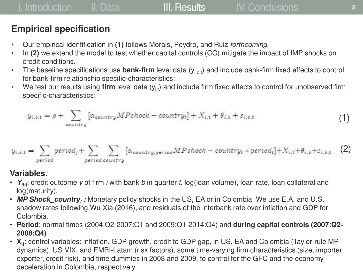### **Empirical specification**

- Our empirical identification in **(1)** follows Morais, Peydro, and Ruiz forthcoming.
- In **(2)** we extend the model to test whether capital controls (CC) mitigate the impact of IMP shocks on credit conditions.
- The baseline specifications use **bank-firm** level data (y<sub>i.b.t</sub>) and include bank-firm fixed effects to control for bank-firm relationship specific-characteristics:
- We test our results using firm level data (y<sub>i,t</sub>) and include firm fixed effects to control for unobserved firm specific-characteristics:

$$
y_{i,b,t} = \rho + \sum_{\text{country}} \left[ \alpha_{\text{country}} MPshock - \text{country}_t \right] + X_{i,t} + \theta_{i,b} + \varepsilon_{i,b,t} \tag{1}
$$

$$
y_{i,b,t} = \sum_{period} period_j + \sum_{period\ country} [\alpha_{country,period} MPshock - country_t * period_t] + X_{i,t} + \theta_{i,b} + \varepsilon_{i,b,t} \quad (2)
$$

### **Variables**:

- $Y_{\text{int}}$ : credit outcome y of firm i with bank b in quarter t. log(loan volume), loan rate, loan collateral and log(maturity).
- MP Shock\_country<sub>t</sub>: Monetary policy shocks in the US, EA or in Colombia. We use E.A. and U.S. shadow rates following Wu-Xia (2016), and residuals of the interbank rate over inflation and GDP for Colombia.
- **Period**: normal times (2004:Q2-2007:Q1 and 2009:Q1-2014:Q4) and **during capital controls (2007:Q2- 2008:Q4)**
- $X_{it}$ : control variables: inflation, GDP growth, credit to GDP gap, in US, EA and Colombia (Taylor-rule MP dynamics), US VIX, and EMBI-Latam (risk factors), some time-varying firm characteristics (size, importer, exporter, credit risk), and time dummies in 2008 and 2009, to control for the GFC and the economy deceleration in Colombia, respectively.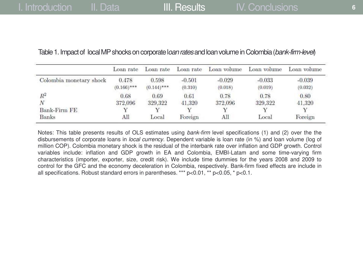|                         | Loan rate              | Loan rate              | Loan rate       | Loan volume     | Loan volume     | Loan volume     |
|-------------------------|------------------------|------------------------|-----------------|-----------------|-----------------|-----------------|
| Colombia monetary shock | 0.478<br>$(0.166)$ *** | 0.598<br>$(0.144)$ *** | $-0.501$        | $-0.029$        | $-0.033$        | $-0.039$        |
| $R^2$                   | 0.68                   | 0.69                   | (0.310)<br>0.61 | (0.018)<br>0.78 | (0.019)<br>0.78 | (0.032)<br>0.80 |
| Ν                       | 372,096                | 329.322                | 41,320          | 372,096         | 329,322         | 41,320          |
| Bank-Firm FE            |                        |                        |                 |                 |                 | V               |
| Banks                   | Аll                    | Local                  | Foreign         | All             | Local           | Foreign         |

### Table 1. Impact of local MP shocks on corporate loan rates and loan volume in Colombia (bank-firm-level)

Notes: This table presents results of OLS estimates using bank-firm level specifications (1) and (2) over the the disbursements of corporate loans in *local currency*. Dependent variable is loan rate (in %) and loan volume (log of million COP). Colombia monetary shock is the residual of the interbank rate over inflation and GDP growth. Control variables include: inflation and GDP growth in EA and Colombia, EMBI-Latam and some time-varying firm characteristics (importer, exporter, size, credit risk). We include time dummies for the years 2008 and 2009 to control for the GFC and the economy deceleration in Colombia, respectively. Bank-firm fixed effects are include in all specifications. Robust standard errors in parentheses. \*\*\* p<0.01, \*\* p<0.05, \* p<0.1.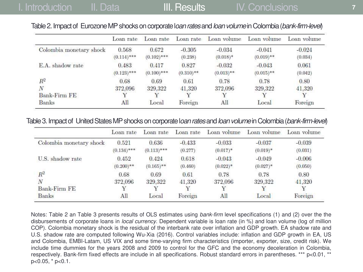### Table 2. Impact of Eurozone MP shocks on corporate loan rates and loan volume in Colombia (bank-firm-level)

|                         | Loan rate              | Loan rate              | Loan rate             | Loan volume              | Loan volume              | Loan volume         |
|-------------------------|------------------------|------------------------|-----------------------|--------------------------|--------------------------|---------------------|
| Colombia monetary shock | 0.568<br>$(0.114)$ *** | 0.672<br>$(0.102)$ *** | $-0.305$<br>(0.238)   | $-0.034$<br>$(0.018)*$   | $-0.041$<br>$(0.019)$ ** | $-0.024$<br>(0.034) |
| E.A. shadow rate        | 0.483<br>$(0.123)$ *** | 0.417<br>$(0.100)$ *** | 0.827<br>$(0.310)$ ** | $-0.032$<br>$(0.013)$ ** | $-0.043$<br>$(0.015)$ ** | 0.061<br>(0.042)    |
| $R^2$                   | 0.68                   | 0.69                   | 0.61                  | 0.78                     | 0.78                     | 0.80                |
| N                       | 372,096                | 329,322                | 41,320                | 372,096                  | 329,322                  | 41,320              |
| <b>Bank-Firm FE</b>     |                        |                        |                       |                          |                          |                     |
| <b>Banks</b>            | All                    | Local                  | Foreign               | All                      | Local                    | Foreign             |

#### Table 3. Impact of United States MP shocks on corporate loan rates and loan volume in Colombia (bank-firm-level)

|                         | Loan rate     | Loan rate    | Loan rate | Loan volume | Loan volume | Loan volume |
|-------------------------|---------------|--------------|-----------|-------------|-------------|-------------|
| Colombia monetary shock | 0.521         | 0.636        | $-0.433$  | $-0.033$    | $-0.037$    | $-0.039$    |
|                         | $(0.134)$ *** | $(0.113)***$ | (0.277)   | $(0.017)*$  | $(0.019)*$  | (0.031)     |
| U.S. shadow rate        | 0.452         | 0.424        | 0.618     | $-0.043$    | $-0.049$    | $-0.006$    |
|                         | $(0.200)$ **  | $(0.165)$ ** | (0.460)   | $(0.022)^*$ | $(0.027)^*$ | (0.050)     |
| $R^2$                   | 0.68          | 0.69         | 0.61      | 0.78        | 0.78        | 0.80        |
| N                       | 372,096       | 329.322      | 41.320    | 372,096     | 329.322     | 41.320      |
| Bank-Firm FE            |               |              |           |             |             |             |
| Banks                   | All           | Local        | Foreign   | All         | Local       | Foreign     |

Notes: Table 2 an Table 3 presents results of OLS estimates using bank-firm level specifications (1) and (2) over the the disbursements of corporate loans in local currency. Dependent variable is loan rate (in %) and loan volume (log of million COP). Colombia monetary shock is the residual of the interbank rate over inflation and GDP growth. EA shadow rate and U.S. shadow rate are computed following Wu-Xia (2016). Control variables include: inflation and GDP growth in EA, US and Colombia, EMBI-Latam, US VIX and some time-varying firm characteristics (importer, exporter, size, credit risk). We include time dummies for the years 2008 and 2009 to control for the GFC and the economy deceleration in Colombia, respectively. Bank-firm fixed effects are include in all specifications. Robust standard errors in parentheses. \*\*\* p<0.01, \*\* p<0.05, \* p<0.1.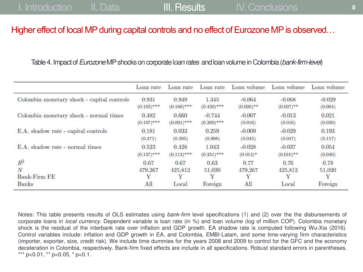### Higher effect of local MP during capital controls and no effect of Eurozone MP is observed…

### Table 4. Impact of *Eurozone* MP shocks on corporate l*oan rates* and loan volume in Colombia (bank-firm-level)

|                                            | Loan rate     | Loan rate     | Loan rate     | Loan volume  | Loan volume  | Loan volume  |
|--------------------------------------------|---------------|---------------|---------------|--------------|--------------|--------------|
| Colombia monetary shock - capital controls | 0.931         | 0.949         | 1.345         | $-0.064$     | $-0.068$     | $-0.029$     |
|                                            | $(0.183)$ *** | $(0.166)$ *** | $(0.439)$ *** | $(0.026)$ ** | $(0.027)$ ** | (0.064)      |
| Colombia monetary shock - normal times     | 0.482         | 0.660         | $-0.744$      | $-0.007$     | $-0.013$     | 0.021        |
|                                            | $(0.107)$ *** | $(0.091)$ *** | $(0.269)$ *** | (0.016)      | (0.016)      | (0.030)      |
| E.A. shadow rate - capital controls        | 0.181         | 0.033         | 0.259         | $-0.009$     | $-0.029$     | 0.193        |
|                                            | (0.471)       | (0.395)       | (0.998)       | (0.045)      | (0.047)      | (0.117)      |
| E.A. shadow rate - normal times            | 0.523         | 0.428         | 1.043         | $-0.028$     | $-0.037$     | 0.054        |
|                                            | $(0.137)$ *** | $(0.113)$ *** | $(0.351)$ *** | $(0.014)$ *  | $(0.016)$ ** | (0.040)      |
| $R^2$                                      | 0.67          | 0.67          | 0.63          | 0.77         | 0.76         | 0.78         |
| N                                          | 479,267       | 425,812       | 51,020        | 479,267      | 425,812      | 51,020       |
| Bank-Firm FE<br>Banks                      | All           | Local         | Foreign       | Υ<br>All     | Local        | v<br>Foreign |

Notes: This table presents results of OLS estimates using bank-firm level specifications (1) and (2) over the the disbursements of corporate loans in local currency. Dependent variable is loan rate (in %) and loan volume (log of million COP). Colombia monetary shock is the residual of the interbank rate over inflation and GDP growth. EA shadow rate is computed following Wu-Xia (2016). Control variables include: inflation and GDP growth in EA, and Colombia, EMBI-Latam, and some time-varying firm characteristics (importer, exporter, size, credit risk). We include time dummies for the years 2008 and 2009 to control for the GFC and the economy deceleration in Colombia, respectively. Bank-firm fixed effects are include in all specifications. Robust standard errors in parentheses. \*\*\*  $p<0.01$ , \*\*  $p<0.05$ , \*  $p<0.1$ .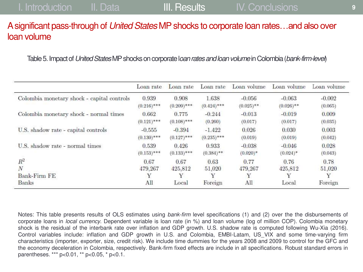### A significant pass-through of United States MP shocks to corporate loan rates…and also over loan volume

Table 5. Impact of United States MP shocks on corporate loan rates and loan volume in Colombia (bank-firm-level)

|                                            | Loan rate     | Loan rate     | Loan rate     | Loan volume  | Loan volume  | Loan volume |
|--------------------------------------------|---------------|---------------|---------------|--------------|--------------|-------------|
| Colombia monetary shock - capital controls | 0.939         | 0.908         | 1.638         | $-0.056$     | $-0.063$     | $-0.002$    |
|                                            | $(0.216)$ *** | $(0.209)$ *** | $(0.424)$ *** | $(0.025)$ ** | $(0.026)$ ** | (0.065)     |
| Colombia monetary shock - normal times     | 0.662         | 0.775         | $-0.244$      | $-0.013$     | $-0.019$     | 0.009       |
|                                            | $(0.121)$ *** | $(0.108)$ *** | (0.260)       | (0.017)      | (0.017)      | (0.035)     |
| U.S. shadow rate - capital controls        | $-0.555$      | $-0.394$      | $-1.422$      | 0.026        | 0.030        | 0.003       |
|                                            | $(0.130)$ *** | $(0.127)$ *** | $(0.235)$ *** | (0.019)      | (0.019)      | (0.042)     |
| U.S. shadow rate - normal times            | 0.539         | 0.426         | 0.933         | $-0.038$     | $-0.046$     | 0.028       |
|                                            | $(0.153)$ *** | $(0.133)$ *** | $(0.384)$ **  | $(0.020)*$   | $(0.024)$ *  | (0.043)     |
| $R^2$                                      | 0.67          | 0.67          | 0.63          | 0.77         | 0.76         | 0.78        |
| N                                          | 479,267       | 425,812       | 51.020        | 479,267      | 425,812      | 51,020      |
| <b>Bank-Firm FE</b>                        | Υ             |               |               | Υ            |              | $\mathbf v$ |
| Banks                                      | All           | Local         | Foreign       | All          | Local        | Foreign     |

Notes: This table presents results of OLS estimates using bank-firm level specifications (1) and (2) over the the disbursements of corporate loans in *local currency*. Dependent variable is loan rate (in %) and loan volume (log of million COP). Colombia monetary shock is the residual of the interbank rate over inflation and GDP growth. U.S. shadow rate is computed following Wu-Xia (2016). Control variables include: inflation and GDP growth in U.S. and Colombia, EMBI-Latam, US\_VIX and some time-varying firm characteristics (importer, exporter, size, credit risk). We include time dummies for the years 2008 and 2009 to control for the GFC and the economy deceleration in Colombia, respectively. Bank-firm fixed effects are include in all specifications. Robust standard errors in parentheses. \*\*\* p<0.01, \*\* p<0.05, \* p<0.1.